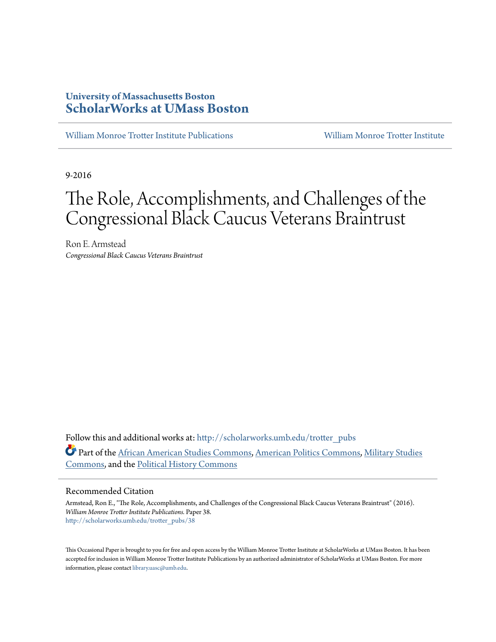# **University of Massachusetts Boston [ScholarWorks at UMass Boston](http://scholarworks.umb.edu?utm_source=scholarworks.umb.edu%2Ftrotter_pubs%2F38&utm_medium=PDF&utm_campaign=PDFCoverPages)**

[William Monroe Trotter Institute Publications](http://scholarworks.umb.edu/trotter_pubs?utm_source=scholarworks.umb.edu%2Ftrotter_pubs%2F38&utm_medium=PDF&utm_campaign=PDFCoverPages) [William Monroe Trotter Institute](http://scholarworks.umb.edu/trotter_institute?utm_source=scholarworks.umb.edu%2Ftrotter_pubs%2F38&utm_medium=PDF&utm_campaign=PDFCoverPages)

9-2016

# The Role, Accomplishments, and Challenges of the Congressional Black Caucus Veterans Braintrust

Ron E. Armstead *Congressional Black Caucus Veterans Braintrust*

Follow this and additional works at: [http://scholarworks.umb.edu/trotter\\_pubs](http://scholarworks.umb.edu/trotter_pubs?utm_source=scholarworks.umb.edu%2Ftrotter_pubs%2F38&utm_medium=PDF&utm_campaign=PDFCoverPages) Part of the [African American Studies Commons,](http://network.bepress.com/hgg/discipline/567?utm_source=scholarworks.umb.edu%2Ftrotter_pubs%2F38&utm_medium=PDF&utm_campaign=PDFCoverPages) [American Politics Commons,](http://network.bepress.com/hgg/discipline/387?utm_source=scholarworks.umb.edu%2Ftrotter_pubs%2F38&utm_medium=PDF&utm_campaign=PDFCoverPages) [Military Studies](http://network.bepress.com/hgg/discipline/396?utm_source=scholarworks.umb.edu%2Ftrotter_pubs%2F38&utm_medium=PDF&utm_campaign=PDFCoverPages) [Commons,](http://network.bepress.com/hgg/discipline/396?utm_source=scholarworks.umb.edu%2Ftrotter_pubs%2F38&utm_medium=PDF&utm_campaign=PDFCoverPages) and the [Political History Commons](http://network.bepress.com/hgg/discipline/505?utm_source=scholarworks.umb.edu%2Ftrotter_pubs%2F38&utm_medium=PDF&utm_campaign=PDFCoverPages)

#### Recommended Citation

Armstead, Ron E., "The Role, Accomplishments, and Challenges of the Congressional Black Caucus Veterans Braintrust" (2016). *William Monroe Trotter Institute Publications.* Paper 38. [http://scholarworks.umb.edu/trotter\\_pubs/38](http://scholarworks.umb.edu/trotter_pubs/38?utm_source=scholarworks.umb.edu%2Ftrotter_pubs%2F38&utm_medium=PDF&utm_campaign=PDFCoverPages)

This Occasional Paper is brought to you for free and open access by the William Monroe Trotter Institute at ScholarWorks at UMass Boston. It has been accepted for inclusion in William Monroe Trotter Institute Publications by an authorized administrator of ScholarWorks at UMass Boston. For more information, please contact [library.uasc@umb.edu](mailto:library.uasc@umb.edu).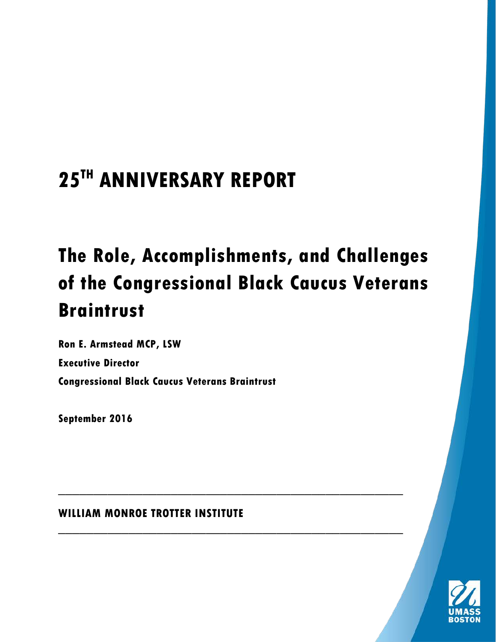# **25TH ANNIVERSARY REPORT**

# **The Role, Accomplishments, and Challenges of the Congressional Black Caucus Veterans Braintrust**

\_\_\_\_\_\_\_\_\_\_\_\_\_\_\_\_\_\_\_\_\_\_\_\_\_\_\_\_\_\_\_\_\_\_\_\_\_\_\_\_\_\_\_\_\_\_\_\_\_

\_\_\_\_\_\_\_\_\_\_\_\_\_\_\_\_\_\_\_\_\_\_\_\_\_\_\_\_\_\_\_\_\_\_\_\_\_\_\_\_\_\_\_\_\_\_\_\_\_

**Ron E. Armstead MCP, LSW Executive Director Congressional Black Caucus Veterans Braintrust**

**September 2016**

**WILLIAM MONROE TROTTER INSTITUTE**

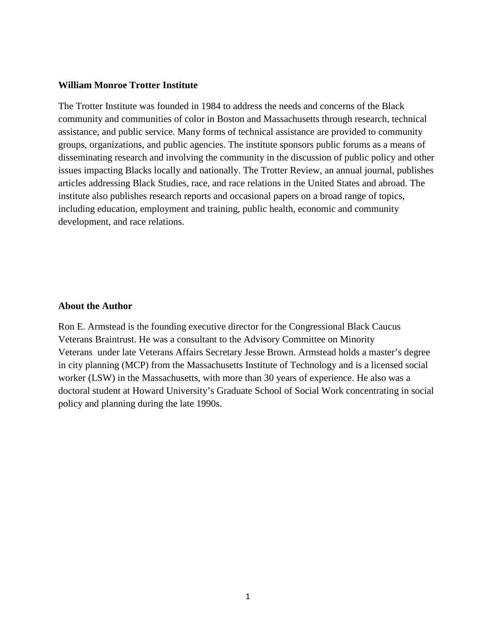#### **William Monroe Trotter Institute**

The Trotter Institute was founded in 1984 to address the needs and concerns of the Black community and communities of color in Boston and Massachusetts through research, technical assistance, and public service. Many forms of technical assistance are provided to community groups, organizations, and public agencies. The institute sponsors public forums as a means of disseminating research and involving the community in the discussion of public policy and other issues impacting Blacks locally and nationally. The Trotter Review, an annual journal, publishes articles addressing Black Studies, race, and race relations in the United States and abroad. The institute also publishes research reports and occasional papers on a broad range of topics, including education, employment and training, public health, economic and community development, and race relations.

#### **About the Author**

Ron E. Armstead is the founding executive director for the Congressional Black Caucus Veterans Braintrust. He was a consultant to the Advisory Committee on Minority Veterans under late Veterans Affairs Secretary Jesse Brown. Armstead holds a master's degree in city planning (MCP) from the Massachusetts Institute of Technology and is a licensed social worker (LSW) in the Massachusetts, with more than 30 years of experience. He also was a doctoral student at Howard University's Graduate School of Social Work concentrating in social policy and planning during the late 1990s.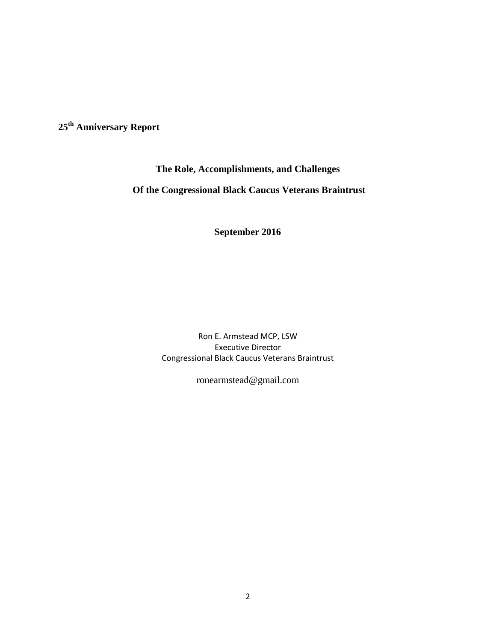**25th Anniversary Report** 

#### **The Role, Accomplishments, and Challenges**

# **Of the Congressional Black Caucus Veterans Braintrust**

**September 2016**

Ron E. Armstead MCP, LSW Executive Director Congressional Black Caucus Veterans Braintrust

ronearmstead@gmail.com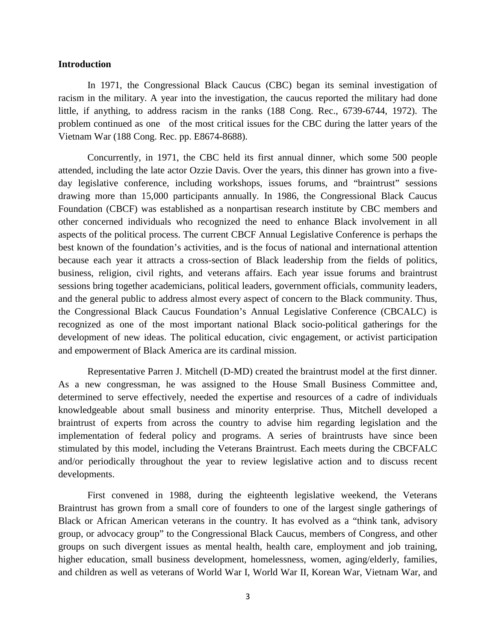#### **Introduction**

In 1971, the Congressional Black Caucus (CBC) began its seminal investigation of racism in the military. A year into the investigation, the caucus reported the military had done little, if anything, to address racism in the ranks (188 Cong. Rec., 6739-6744, 1972). The problem continued as one of the most critical issues for the CBC during the latter years of the Vietnam War (188 Cong. Rec. pp. E8674-8688).

Concurrently, in 1971, the CBC held its first annual dinner, which some 500 people attended, including the late actor Ozzie Davis. Over the years, this dinner has grown into a fiveday legislative conference, including workshops, issues forums, and "braintrust" sessions drawing more than 15,000 participants annually. In 1986, the Congressional Black Caucus Foundation (CBCF) was established as a nonpartisan research institute by CBC members and other concerned individuals who recognized the need to enhance Black involvement in all aspects of the political process. The current CBCF Annual Legislative Conference is perhaps the best known of the foundation's activities, and is the focus of national and international attention because each year it attracts a cross-section of Black leadership from the fields of politics, business, religion, civil rights, and veterans affairs. Each year issue forums and braintrust sessions bring together academicians, political leaders, government officials, community leaders, and the general public to address almost every aspect of concern to the Black community. Thus, the Congressional Black Caucus Foundation's Annual Legislative Conference (CBCALC) is recognized as one of the most important national Black socio-political gatherings for the development of new ideas. The political education, civic engagement, or activist participation and empowerment of Black America are its cardinal mission.

Representative Parren J. Mitchell (D-MD) created the braintrust model at the first dinner. As a new congressman, he was assigned to the House Small Business Committee and, determined to serve effectively, needed the expertise and resources of a cadre of individuals knowledgeable about small business and minority enterprise. Thus, Mitchell developed a braintrust of experts from across the country to advise him regarding legislation and the implementation of federal policy and programs. A series of braintrusts have since been stimulated by this model, including the Veterans Braintrust. Each meets during the CBCFALC and/or periodically throughout the year to review legislative action and to discuss recent developments.

First convened in 1988, during the eighteenth legislative weekend, the Veterans Braintrust has grown from a small core of founders to one of the largest single gatherings of Black or African American veterans in the country. It has evolved as a "think tank, advisory group, or advocacy group" to the Congressional Black Caucus, members of Congress, and other groups on such divergent issues as mental health, health care, employment and job training, higher education, small business development, homelessness, women, aging/elderly, families, and children as well as veterans of World War I, World War II, Korean War, Vietnam War, and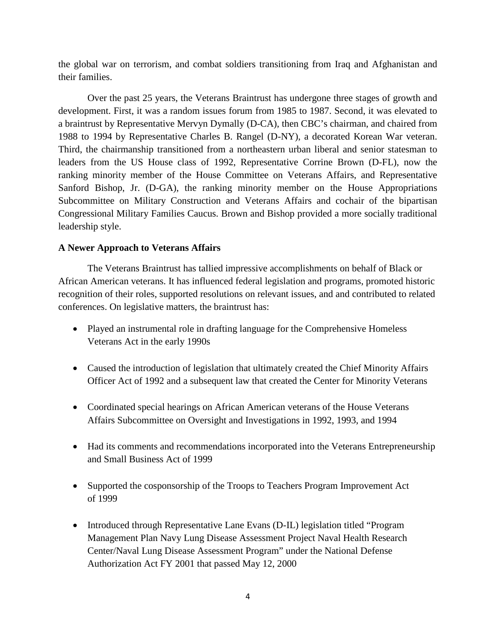the global war on terrorism, and combat soldiers transitioning from Iraq and Afghanistan and their families.

Over the past 25 years, the Veterans Braintrust has undergone three stages of growth and development. First, it was a random issues forum from 1985 to 1987. Second, it was elevated to a braintrust by Representative Mervyn Dymally (D-CA), then CBC's chairman, and chaired from 1988 to 1994 by Representative Charles B. Rangel (D-NY), a decorated Korean War veteran. Third, the chairmanship transitioned from a northeastern urban liberal and senior statesman to leaders from the US House class of 1992, Representative Corrine Brown (D-FL), now the ranking minority member of the House Committee on Veterans Affairs, and Representative Sanford Bishop, Jr. (D-GA), the ranking minority member on the House Appropriations Subcommittee on Military Construction and Veterans Affairs and cochair of the bipartisan Congressional Military Families Caucus. Brown and Bishop provided a more socially traditional leadership style.

#### **A Newer Approach to Veterans Affairs**

The Veterans Braintrust has tallied impressive accomplishments on behalf of Black or African American veterans. It has influenced federal legislation and programs, promoted historic recognition of their roles, supported resolutions on relevant issues, and and contributed to related conferences. On legislative matters, the braintrust has:

- Played an instrumental role in drafting language for the Comprehensive Homeless Veterans Act in the early 1990s
- Caused the introduction of legislation that ultimately created the Chief Minority Affairs Officer Act of 1992 and a subsequent law that created the Center for Minority Veterans
- Coordinated special hearings on African American veterans of the House Veterans Affairs Subcommittee on Oversight and Investigations in 1992, 1993, and 1994
- Had its comments and recommendations incorporated into the Veterans Entrepreneurship and Small Business Act of 1999
- Supported the cosponsorship of the Troops to Teachers Program Improvement Act of 1999
- Introduced through Representative Lane Evans (D-IL) legislation titled "Program Management Plan Navy Lung Disease Assessment Project Naval Health Research Center/Naval Lung Disease Assessment Program" under the National Defense Authorization Act FY 2001 that passed May 12, 2000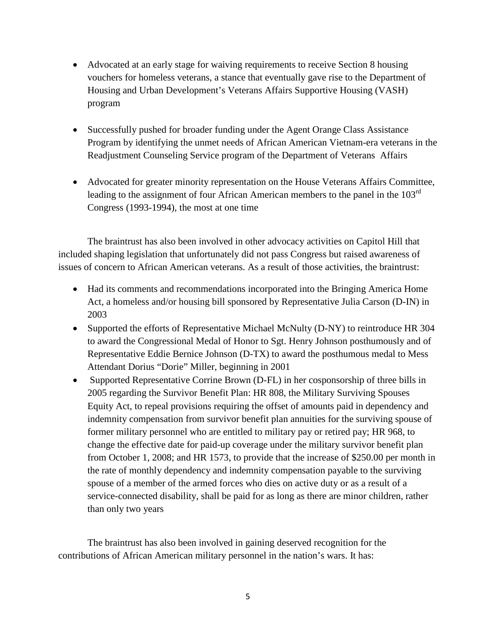- Advocated at an early stage for waiving requirements to receive Section 8 housing vouchers for homeless veterans, a stance that eventually gave rise to the Department of Housing and Urban Development's Veterans Affairs Supportive Housing (VASH) program
- Successfully pushed for broader funding under the Agent Orange Class Assistance Program by identifying the unmet needs of African American Vietnam-era veterans in the Readjustment Counseling Service program of the Department of Veterans Affairs
- Advocated for greater minority representation on the House Veterans Affairs Committee, leading to the assignment of four African American members to the panel in the 103<sup>rd</sup> Congress (1993-1994), the most at one time

The braintrust has also been involved in other advocacy activities on Capitol Hill that included shaping legislation that unfortunately did not pass Congress but raised awareness of issues of concern to African American veterans. As a result of those activities, the braintrust:

- Had its comments and recommendations incorporated into the Bringing America Home Act, a homeless and/or housing bill sponsored by Representative Julia Carson (D-IN) in 2003
- Supported the efforts of Representative Michael McNulty (D-NY) to reintroduce HR 304 to award the Congressional Medal of Honor to Sgt. Henry Johnson posthumously and of Representative Eddie Bernice Johnson (D-TX) to award the posthumous medal to Mess Attendant Dorius "Dorie" Miller, beginning in 2001
- Supported Representative Corrine Brown (D-FL) in her cosponsorship of three bills in 2005 regarding the Survivor Benefit Plan: HR 808, the Military Surviving Spouses Equity Act, to repeal provisions requiring the offset of amounts paid in dependency and indemnity compensation from survivor benefit plan annuities for the surviving spouse of former military personnel who are entitled to military pay or retired pay; HR 968, to change the effective date for paid-up coverage under the military survivor benefit plan from October 1, 2008; and HR 1573, to provide that the increase of \$250.00 per month in the rate of monthly dependency and indemnity compensation payable to the surviving spouse of a member of the armed forces who dies on active duty or as a result of a service-connected disability, shall be paid for as long as there are minor children, rather than only two years

The braintrust has also been involved in gaining deserved recognition for the contributions of African American military personnel in the nation's wars. It has: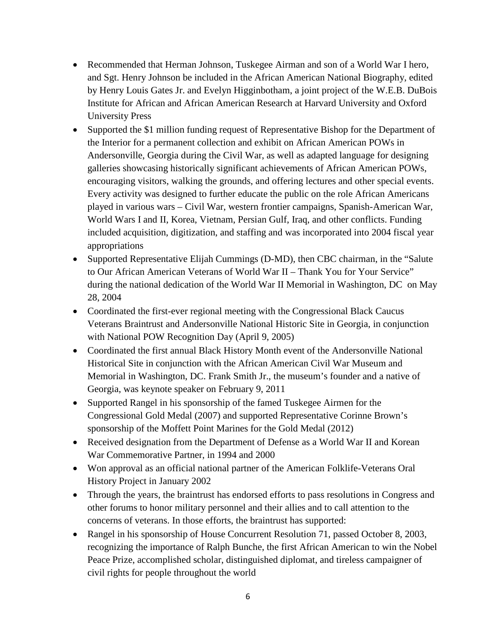- Recommended that Herman Johnson, Tuskegee Airman and son of a World War I hero, and Sgt. Henry Johnson be included in the African American National Biography, edited by Henry Louis Gates Jr. and Evelyn Higginbotham, a joint project of the W.E.B. DuBois Institute for African and African American Research at Harvard University and Oxford University Press
- Supported the \$1 million funding request of Representative Bishop for the Department of the Interior for a permanent collection and exhibit on African American POWs in Andersonville, Georgia during the Civil War, as well as adapted language for designing galleries showcasing historically significant achievements of African American POWs, encouraging visitors, walking the grounds, and offering lectures and other special events. Every activity was designed to further educate the public on the role African Americans played in various wars – Civil War, western frontier campaigns, Spanish-American War, World Wars I and II, Korea, Vietnam, Persian Gulf, Iraq, and other conflicts. Funding included acquisition, digitization, and staffing and was incorporated into 2004 fiscal year appropriations
- Supported Representative Elijah Cummings (D-MD), then CBC chairman, in the "Salute to Our African American Veterans of World War II – Thank You for Your Service" during the national dedication of the World War II Memorial in Washington, DC on May 28, 2004
- Coordinated the first-ever regional meeting with the Congressional Black Caucus Veterans Braintrust and Andersonville National Historic Site in Georgia, in conjunction with National POW Recognition Day (April 9, 2005)
- Coordinated the first annual Black History Month event of the Andersonville National Historical Site in conjunction with the African American Civil War Museum and Memorial in Washington, DC. Frank Smith Jr., the museum's founder and a native of Georgia, was keynote speaker on February 9, 2011
- Supported Rangel in his sponsorship of the famed Tuskegee Airmen for the Congressional Gold Medal (2007) and supported Representative Corinne Brown's sponsorship of the Moffett Point Marines for the Gold Medal (2012)
- Received designation from the Department of Defense as a World War II and Korean War Commemorative Partner, in 1994 and 2000
- Won approval as an official national partner of the American Folklife-Veterans Oral History Project in January 2002
- Through the years, the braintrust has endorsed efforts to pass resolutions in Congress and other forums to honor military personnel and their allies and to call attention to the concerns of veterans. In those efforts, the braintrust has supported:
- Rangel in his sponsorship of House Concurrent Resolution 71, passed October 8, 2003, recognizing the importance of Ralph Bunche, the first African American to win the Nobel Peace Prize, accomplished scholar, distinguished diplomat, and tireless campaigner of civil rights for people throughout the world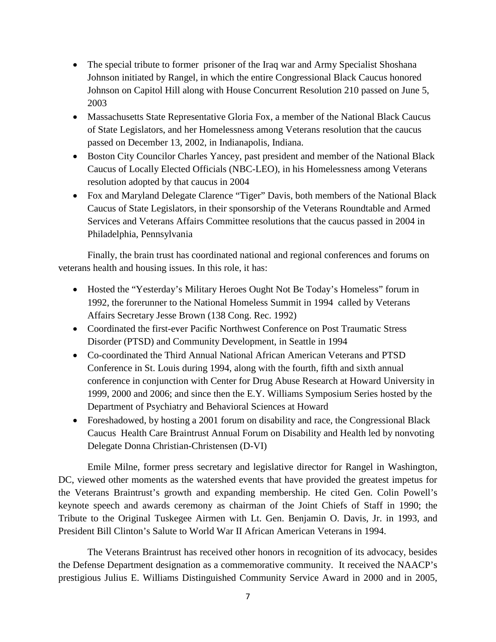- The special tribute to former prisoner of the Iraq war and Army Specialist Shoshana Johnson initiated by Rangel, in which the entire Congressional Black Caucus honored Johnson on Capitol Hill along with House Concurrent Resolution 210 passed on June 5, 2003
- Massachusetts State Representative Gloria Fox, a member of the National Black Caucus of State Legislators, and her Homelessness among Veterans resolution that the caucus passed on December 13, 2002, in Indianapolis, Indiana.
- Boston City Councilor Charles Yancey, past president and member of the National Black Caucus of Locally Elected Officials (NBC-LEO), in his Homelessness among Veterans resolution adopted by that caucus in 2004
- Fox and Maryland Delegate Clarence "Tiger" Davis, both members of the National Black Caucus of State Legislators, in their sponsorship of the Veterans Roundtable and Armed Services and Veterans Affairs Committee resolutions that the caucus passed in 2004 in Philadelphia, Pennsylvania

Finally, the brain trust has coordinated national and regional conferences and forums on veterans health and housing issues. In this role, it has:

- Hosted the "Yesterday's Military Heroes Ought Not Be Today's Homeless" forum in 1992, the forerunner to the National Homeless Summit in 1994 called by Veterans Affairs Secretary Jesse Brown (138 Cong. Rec. 1992)
- Coordinated the first-ever Pacific Northwest Conference on Post Traumatic Stress Disorder (PTSD) and Community Development, in Seattle in 1994
- Co-coordinated the Third Annual National African American Veterans and PTSD Conference in St. Louis during 1994, along with the fourth, fifth and sixth annual conference in conjunction with Center for Drug Abuse Research at Howard University in 1999, 2000 and 2006; and since then the E.Y. Williams Symposium Series hosted by the Department of Psychiatry and Behavioral Sciences at Howard
- Foreshadowed, by hosting a 2001 forum on disability and race, the Congressional Black Caucus Health Care Braintrust Annual Forum on Disability and Health led by nonvoting Delegate Donna Christian-Christensen (D-VI)

Emile Milne, former press secretary and legislative director for Rangel in Washington, DC, viewed other moments as the watershed events that have provided the greatest impetus for the Veterans Braintrust's growth and expanding membership. He cited Gen. Colin Powell's keynote speech and awards ceremony as chairman of the Joint Chiefs of Staff in 1990; the Tribute to the Original Tuskegee Airmen with Lt. Gen. Benjamin O. Davis, Jr. in 1993, and President Bill Clinton's Salute to World War II African American Veterans in 1994.

The Veterans Braintrust has received other honors in recognition of its advocacy, besides the Defense Department designation as a commemorative community. It received the NAACP's prestigious Julius E. Williams Distinguished Community Service Award in 2000 and in 2005,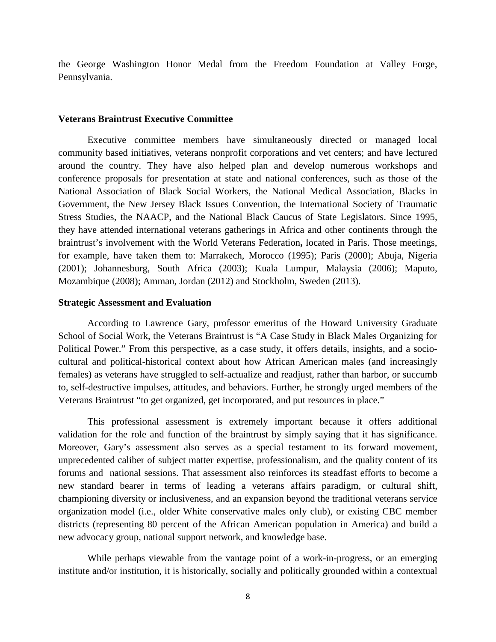the George Washington Honor Medal from the Freedom Foundation at Valley Forge, Pennsylvania.

#### **Veterans Braintrust Executive Committee**

Executive committee members have simultaneously directed or managed local community based initiatives, veterans nonprofit corporations and vet centers; and have lectured around the country. They have also helped plan and develop numerous workshops and conference proposals for presentation at state and national conferences, such as those of the National Association of Black Social Workers, the National Medical Association, Blacks in Government, the New Jersey Black Issues Convention, the International Society of Traumatic Stress Studies, the NAACP, and the National Black Caucus of State Legislators. Since 1995, they have attended international veterans gatherings in Africa and other continents through the braintrust's involvement with the World Veterans Federation**,** located in Paris. Those meetings, for example, have taken them to: Marrakech, Morocco (1995); Paris (2000); Abuja, Nigeria (2001); Johannesburg, South Africa (2003); Kuala Lumpur, Malaysia (2006); Maputo, Mozambique (2008); Amman, Jordan (2012) and Stockholm, Sweden (2013).

#### **Strategic Assessment and Evaluation**

According to Lawrence Gary, professor emeritus of the Howard University Graduate School of Social Work, the Veterans Braintrust is "A Case Study in Black Males Organizing for Political Power." From this perspective, as a case study, it offers details, insights, and a sociocultural and political-historical context about how African American males (and increasingly females) as veterans have struggled to self-actualize and readjust, rather than harbor, or succumb to, self-destructive impulses, attitudes, and behaviors. Further, he strongly urged members of the Veterans Braintrust "to get organized, get incorporated, and put resources in place."

This professional assessment is extremely important because it offers additional validation for the role and function of the braintrust by simply saying that it has significance. Moreover, Gary's assessment also serves as a special testament to its forward movement, unprecedented caliber of subject matter expertise, professionalism, and the quality content of its forums and national sessions. That assessment also reinforces its steadfast efforts to become a new standard bearer in terms of leading a veterans affairs paradigm, or cultural shift, championing diversity or inclusiveness, and an expansion beyond the traditional veterans service organization model (i.e., older White conservative males only club), or existing CBC member districts (representing 80 percent of the African American population in America) and build a new advocacy group, national support network, and knowledge base.

While perhaps viewable from the vantage point of a work-in-progress, or an emerging institute and/or institution, it is historically, socially and politically grounded within a contextual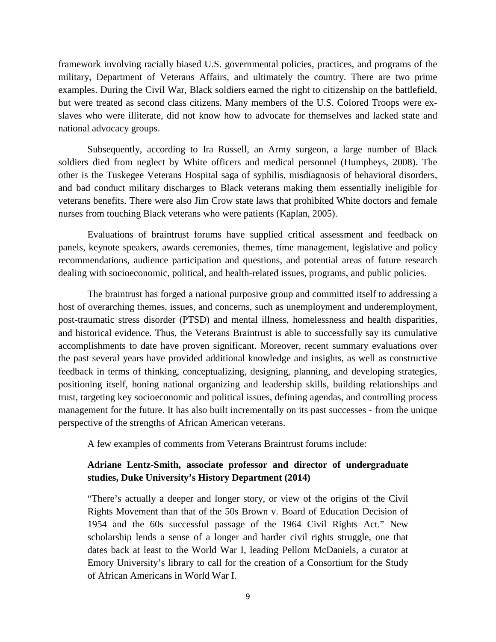framework involving racially biased U.S. governmental policies, practices, and programs of the military, Department of Veterans Affairs, and ultimately the country. There are two prime examples. During the Civil War, Black soldiers earned the right to citizenship on the battlefield, but were treated as second class citizens. Many members of the U.S. Colored Troops were exslaves who were illiterate, did not know how to advocate for themselves and lacked state and national advocacy groups.

Subsequently, according to Ira Russell, an Army surgeon, a large number of Black soldiers died from neglect by White officers and medical personnel (Humpheys, 2008). The other is the Tuskegee Veterans Hospital saga of syphilis, misdiagnosis of behavioral disorders, and bad conduct military discharges to Black veterans making them essentially ineligible for veterans benefits. There were also Jim Crow state laws that prohibited White doctors and female nurses from touching Black veterans who were patients (Kaplan, 2005).

Evaluations of braintrust forums have supplied critical assessment and feedback on panels, keynote speakers, awards ceremonies, themes, time management, legislative and policy recommendations, audience participation and questions, and potential areas of future research dealing with socioeconomic, political, and health-related issues, programs, and public policies.

The braintrust has forged a national purposive group and committed itself to addressing a host of overarching themes, issues, and concerns, such as unemployment and underemployment, post-traumatic stress disorder (PTSD) and mental illness, homelessness and health disparities, and historical evidence. Thus, the Veterans Braintrust is able to successfully say its cumulative accomplishments to date have proven significant. Moreover, recent summary evaluations over the past several years have provided additional knowledge and insights, as well as constructive feedback in terms of thinking, conceptualizing, designing, planning, and developing strategies, positioning itself, honing national organizing and leadership skills, building relationships and trust, targeting key socioeconomic and political issues, defining agendas, and controlling process management for the future. It has also built incrementally on its past successes - from the unique perspective of the strengths of African American veterans.

A few examples of comments from Veterans Braintrust forums include:

#### **Adriane Lentz-Smith, associate professor and director of undergraduate studies, Duke University's History Department (2014)**

"There's actually a deeper and longer story, or view of the origins of the Civil Rights Movement than that of the 50s Brown v. Board of Education Decision of 1954 and the 60s successful passage of the 1964 Civil Rights Act." New scholarship lends a sense of a longer and harder civil rights struggle, one that dates back at least to the World War I, leading Pellom McDaniels, a curator at Emory University's library to call for the creation of a Consortium for the Study of African Americans in World War I.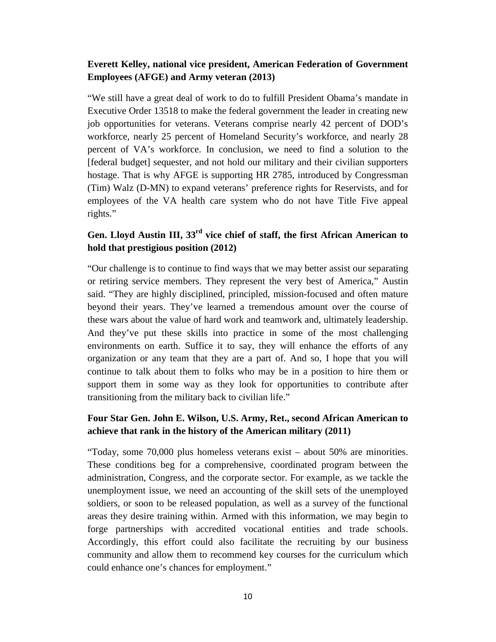#### **Everett Kelley, national vice president, American Federation of Government Employees (AFGE) and Army veteran (2013)**

"We still have a great deal of work to do to fulfill President Obama's mandate in Executive Order 13518 to make the federal government the leader in creating new job opportunities for veterans. Veterans comprise nearly 42 percent of DOD's workforce, nearly 25 percent of Homeland Security's workforce, and nearly 28 percent of VA's workforce. In conclusion, we need to find a solution to the [federal budget] sequester, and not hold our military and their civilian supporters hostage. That is why AFGE is supporting HR 2785, introduced by Congressman (Tim) Walz (D-MN) to expand veterans' preference rights for Reservists, and for employees of the VA health care system who do not have Title Five appeal rights."

# **Gen. Lloyd Austin III, 33rd vice chief of staff, the first African American to hold that prestigious position (2012)**

"Our challenge is to continue to find ways that we may better assist our separating or retiring service members. They represent the very best of America," Austin said. "They are highly disciplined, principled, mission-focused and often mature beyond their years. They've learned a tremendous amount over the course of these wars about the value of hard work and teamwork and, ultimately leadership. And they've put these skills into practice in some of the most challenging environments on earth. Suffice it to say, they will enhance the efforts of any organization or any team that they are a part of. And so, I hope that you will continue to talk about them to folks who may be in a position to hire them or support them in some way as they look for opportunities to contribute after transitioning from the military back to civilian life."

#### **Four Star Gen. John E. Wilson, U.S. Army, Ret., second African American to achieve that rank in the history of the American military (2011)**

"Today, some 70,000 plus homeless veterans exist – about 50% are minorities. These conditions beg for a comprehensive, coordinated program between the administration, Congress, and the corporate sector. For example, as we tackle the unemployment issue, we need an accounting of the skill sets of the unemployed soldiers, or soon to be released population, as well as a survey of the functional areas they desire training within. Armed with this information, we may begin to forge partnerships with accredited vocational entities and trade schools. Accordingly, this effort could also facilitate the recruiting by our business community and allow them to recommend key courses for the curriculum which could enhance one's chances for employment."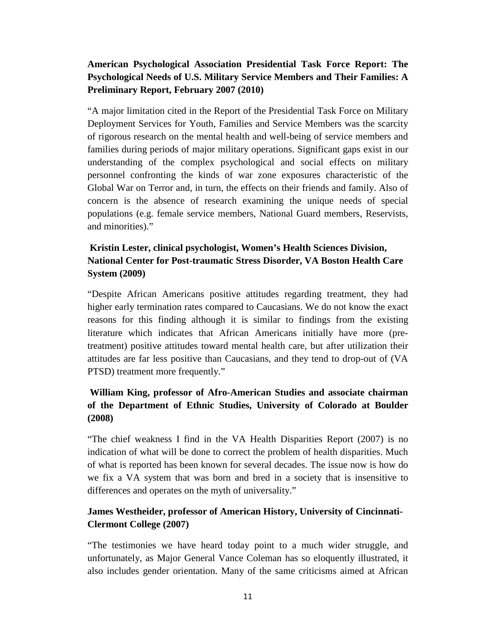# **American Psychological Association Presidential Task Force Report: The Psychological Needs of U.S. Military Service Members and Their Families: A Preliminary Report, February 2007 (2010)**

"A major limitation cited in the Report of the Presidential Task Force on Military Deployment Services for Youth, Families and Service Members was the scarcity of rigorous research on the mental health and well-being of service members and families during periods of major military operations. Significant gaps exist in our understanding of the complex psychological and social effects on military personnel confronting the kinds of war zone exposures characteristic of the Global War on Terror and, in turn, the effects on their friends and family. Also of concern is the absence of research examining the unique needs of special populations (e.g. female service members, National Guard members, Reservists, and minorities)."

# **Kristin Lester, clinical psychologist, Women's Health Sciences Division, National Center for Post-traumatic Stress Disorder, VA Boston Health Care System (2009)**

"Despite African Americans positive attitudes regarding treatment, they had higher early termination rates compared to Caucasians. We do not know the exact reasons for this finding although it is similar to findings from the existing literature which indicates that African Americans initially have more (pretreatment) positive attitudes toward mental health care, but after utilization their attitudes are far less positive than Caucasians, and they tend to drop-out of (VA PTSD) treatment more frequently."

# **William King, professor of Afro-American Studies and associate chairman of the Department of Ethnic Studies, University of Colorado at Boulder (2008)**

"The chief weakness I find in the VA Health Disparities Report (2007) is no indication of what will be done to correct the problem of health disparities. Much of what is reported has been known for several decades. The issue now is how do we fix a VA system that was born and bred in a society that is insensitive to differences and operates on the myth of universality."

#### **James Westheider, professor of American History, University of Cincinnati-Clermont College (2007)**

"The testimonies we have heard today point to a much wider struggle, and unfortunately, as Major General Vance Coleman has so eloquently illustrated, it also includes gender orientation. Many of the same criticisms aimed at African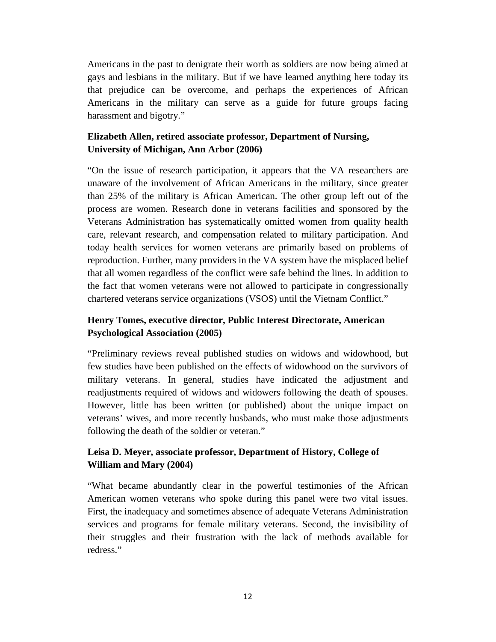Americans in the past to denigrate their worth as soldiers are now being aimed at gays and lesbians in the military. But if we have learned anything here today its that prejudice can be overcome, and perhaps the experiences of African Americans in the military can serve as a guide for future groups facing harassment and bigotry."

#### **Elizabeth Allen, retired associate professor, Department of Nursing, University of Michigan, Ann Arbor (2006)**

"On the issue of research participation, it appears that the VA researchers are unaware of the involvement of African Americans in the military, since greater than 25% of the military is African American. The other group left out of the process are women. Research done in veterans facilities and sponsored by the Veterans Administration has systematically omitted women from quality health care, relevant research, and compensation related to military participation. And today health services for women veterans are primarily based on problems of reproduction. Further, many providers in the VA system have the misplaced belief that all women regardless of the conflict were safe behind the lines. In addition to the fact that women veterans were not allowed to participate in congressionally chartered veterans service organizations (VSOS) until the Vietnam Conflict."

#### **Henry Tomes, executive director, Public Interest Directorate, American Psychological Association (2005)**

"Preliminary reviews reveal published studies on widows and widowhood, but few studies have been published on the effects of widowhood on the survivors of military veterans. In general, studies have indicated the adjustment and readjustments required of widows and widowers following the death of spouses. However, little has been written (or published) about the unique impact on veterans' wives, and more recently husbands, who must make those adjustments following the death of the soldier or veteran."

#### **Leisa D. Meyer, associate professor, Department of History, College of William and Mary (2004)**

"What became abundantly clear in the powerful testimonies of the African American women veterans who spoke during this panel were two vital issues. First, the inadequacy and sometimes absence of adequate Veterans Administration services and programs for female military veterans. Second, the invisibility of their struggles and their frustration with the lack of methods available for redress."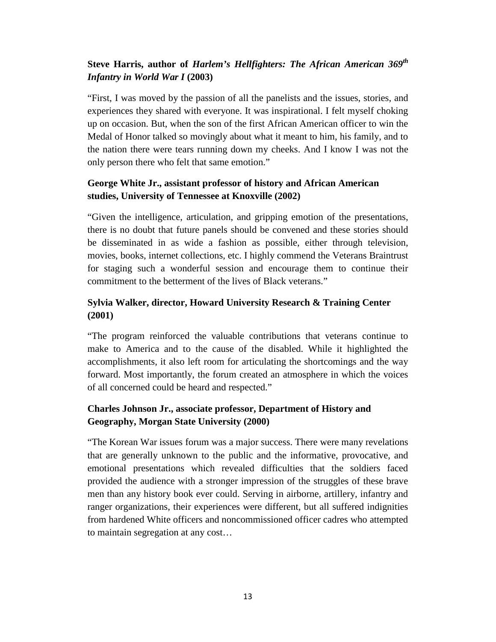# **Steve Harris, author of** *Harlem's Hellfighters: The African American 369th Infantry in World War I* **(2003)**

"First, I was moved by the passion of all the panelists and the issues, stories, and experiences they shared with everyone. It was inspirational. I felt myself choking up on occasion. But, when the son of the first African American officer to win the Medal of Honor talked so movingly about what it meant to him, his family, and to the nation there were tears running down my cheeks. And I know I was not the only person there who felt that same emotion."

# **George White Jr., assistant professor of history and African American studies, University of Tennessee at Knoxville (2002)**

"Given the intelligence, articulation, and gripping emotion of the presentations, there is no doubt that future panels should be convened and these stories should be disseminated in as wide a fashion as possible, either through television, movies, books, internet collections, etc. I highly commend the Veterans Braintrust for staging such a wonderful session and encourage them to continue their commitment to the betterment of the lives of Black veterans."

# **Sylvia Walker, director, Howard University Research & Training Center (2001)**

"The program reinforced the valuable contributions that veterans continue to make to America and to the cause of the disabled. While it highlighted the accomplishments, it also left room for articulating the shortcomings and the way forward. Most importantly, the forum created an atmosphere in which the voices of all concerned could be heard and respected."

# **Charles Johnson Jr., associate professor, Department of History and Geography, Morgan State University (2000)**

"The Korean War issues forum was a major success. There were many revelations that are generally unknown to the public and the informative, provocative, and emotional presentations which revealed difficulties that the soldiers faced provided the audience with a stronger impression of the struggles of these brave men than any history book ever could. Serving in airborne, artillery, infantry and ranger organizations, their experiences were different, but all suffered indignities from hardened White officers and noncommissioned officer cadres who attempted to maintain segregation at any cost…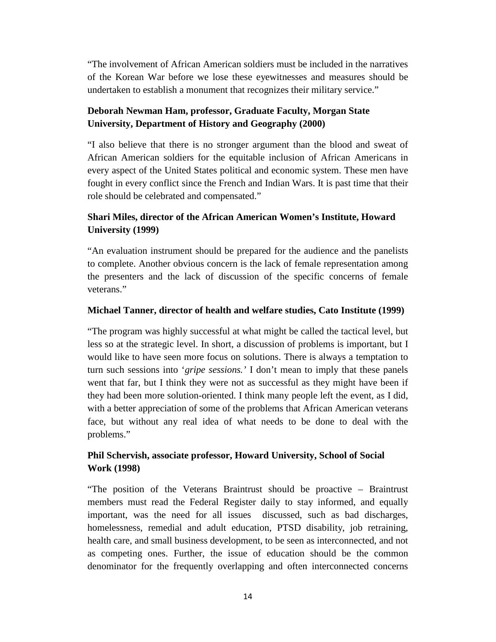"The involvement of African American soldiers must be included in the narratives of the Korean War before we lose these eyewitnesses and measures should be undertaken to establish a monument that recognizes their military service."

# **Deborah Newman Ham, professor, Graduate Faculty, Morgan State University, Department of History and Geography (2000)**

"I also believe that there is no stronger argument than the blood and sweat of African American soldiers for the equitable inclusion of African Americans in every aspect of the United States political and economic system. These men have fought in every conflict since the French and Indian Wars. It is past time that their role should be celebrated and compensated."

# **Shari Miles, director of the African American Women's Institute, Howard University (1999)**

"An evaluation instrument should be prepared for the audience and the panelists to complete. Another obvious concern is the lack of female representation among the presenters and the lack of discussion of the specific concerns of female veterans."

#### **Michael Tanner, director of health and welfare studies, Cato Institute (1999)**

"The program was highly successful at what might be called the tactical level, but less so at the strategic level. In short, a discussion of problems is important, but I would like to have seen more focus on solutions. There is always a temptation to turn such sessions into '*gripe sessions.'* I don't mean to imply that these panels went that far, but I think they were not as successful as they might have been if they had been more solution-oriented. I think many people left the event, as I did, with a better appreciation of some of the problems that African American veterans face, but without any real idea of what needs to be done to deal with the problems."

# **Phil Schervish, associate professor, Howard University, School of Social Work (1998)**

"The position of the Veterans Braintrust should be proactive – Braintrust members must read the Federal Register daily to stay informed, and equally important, was the need for all issues discussed, such as bad discharges, homelessness, remedial and adult education, PTSD disability, job retraining, health care, and small business development, to be seen as interconnected, and not as competing ones. Further, the issue of education should be the common denominator for the frequently overlapping and often interconnected concerns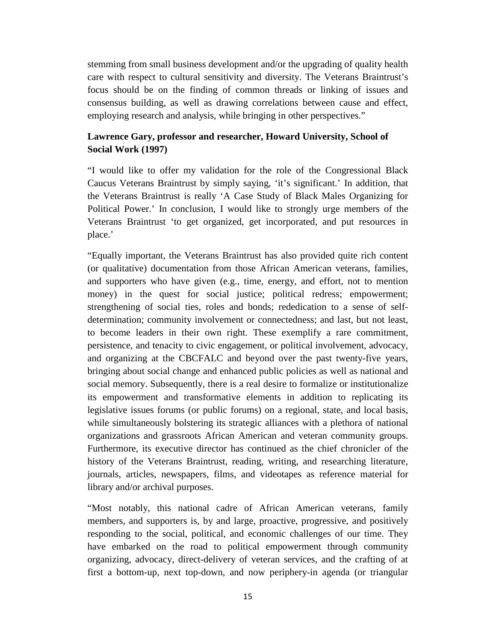stemming from small business development and/or the upgrading of quality health care with respect to cultural sensitivity and diversity. The Veterans Braintrust's focus should be on the finding of common threads or linking of issues and consensus building, as well as drawing correlations between cause and effect, employing research and analysis, while bringing in other perspectives."

#### **Lawrence Gary, professor and researcher, Howard University, School of Social Work (1997)**

"I would like to offer my validation for the role of the Congressional Black Caucus Veterans Braintrust by simply saying, 'it's significant.' In addition, that the Veterans Braintrust is really 'A Case Study of Black Males Organizing for Political Power.' In conclusion, I would like to strongly urge members of the Veterans Braintrust 'to get organized, get incorporated, and put resources in place.'

"Equally important, the Veterans Braintrust has also provided quite rich content (or qualitative) documentation from those African American veterans, families, and supporters who have given (e.g., time, energy, and effort, not to mention money) in the quest for social justice; political redress; empowerment; strengthening of social ties, roles and bonds; rededication to a sense of selfdetermination; community involvement or connectedness; and last, but not least, to become leaders in their own right. These exemplify a rare commitment, persistence, and tenacity to civic engagement, or political involvement, advocacy, and organizing at the CBCFALC and beyond over the past twenty-five years, bringing about social change and enhanced public policies as well as national and social memory. Subsequently, there is a real desire to formalize or institutionalize its empowerment and transformative elements in addition to replicating its legislative issues forums (or public forums) on a regional, state, and local basis, while simultaneously bolstering its strategic alliances with a plethora of national organizations and grassroots African American and veteran community groups. Furthermore, its executive director has continued as the chief chronicler of the history of the Veterans Braintrust, reading, writing, and researching literature, journals, articles, newspapers, films, and videotapes as reference material for library and/or archival purposes.

"Most notably, this national cadre of African American veterans, family members, and supporters is, by and large, proactive, progressive, and positively responding to the social, political, and economic challenges of our time. They have embarked on the road to political empowerment through community organizing, advocacy, direct-delivery of veteran services, and the crafting of at first a bottom-up, next top-down, and now periphery-in agenda (or triangular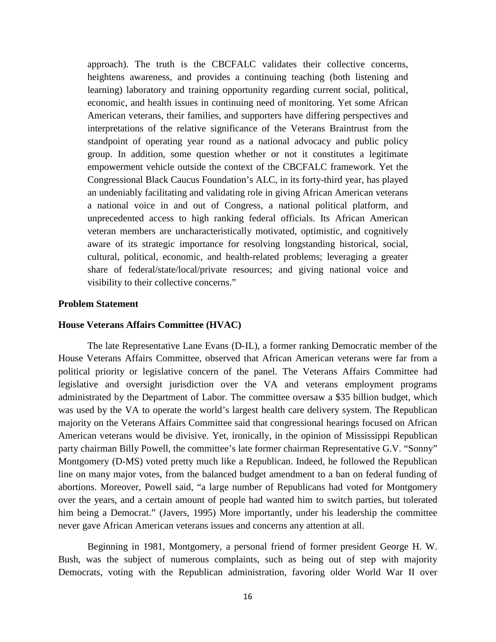approach). The truth is the CBCFALC validates their collective concerns, heightens awareness, and provides a continuing teaching (both listening and learning) laboratory and training opportunity regarding current social, political, economic, and health issues in continuing need of monitoring. Yet some African American veterans, their families, and supporters have differing perspectives and interpretations of the relative significance of the Veterans Braintrust from the standpoint of operating year round as a national advocacy and public policy group. In addition, some question whether or not it constitutes a legitimate empowerment vehicle outside the context of the CBCFALC framework. Yet the Congressional Black Caucus Foundation's ALC, in its forty-third year, has played an undeniably facilitating and validating role in giving African American veterans a national voice in and out of Congress, a national political platform, and unprecedented access to high ranking federal officials. Its African American veteran members are uncharacteristically motivated, optimistic, and cognitively aware of its strategic importance for resolving longstanding historical, social, cultural, political, economic, and health-related problems; leveraging a greater share of federal/state/local/private resources; and giving national voice and visibility to their collective concerns."

#### **Problem Statement**

#### **House Veterans Affairs Committee (HVAC)**

The late Representative Lane Evans (D-IL), a former ranking Democratic member of the House Veterans Affairs Committee, observed that African American veterans were far from a political priority or legislative concern of the panel. The Veterans Affairs Committee had legislative and oversight jurisdiction over the VA and veterans employment programs administrated by the Department of Labor. The committee oversaw a \$35 billion budget, which was used by the VA to operate the world's largest health care delivery system. The Republican majority on the Veterans Affairs Committee said that congressional hearings focused on African American veterans would be divisive. Yet, ironically, in the opinion of Mississippi Republican party chairman Billy Powell, the committee's late former chairman Representative G.V. "Sonny" Montgomery (D-MS) voted pretty much like a Republican. Indeed, he followed the Republican line on many major votes, from the balanced budget amendment to a ban on federal funding of abortions. Moreover, Powell said, "a large number of Republicans had voted for Montgomery over the years, and a certain amount of people had wanted him to switch parties, but tolerated him being a Democrat." (Javers, 1995) More importantly, under his leadership the committee never gave African American veterans issues and concerns any attention at all.

Beginning in 1981, Montgomery, a personal friend of former president George H. W. Bush, was the subject of numerous complaints, such as being out of step with majority Democrats, voting with the Republican administration, favoring older World War II over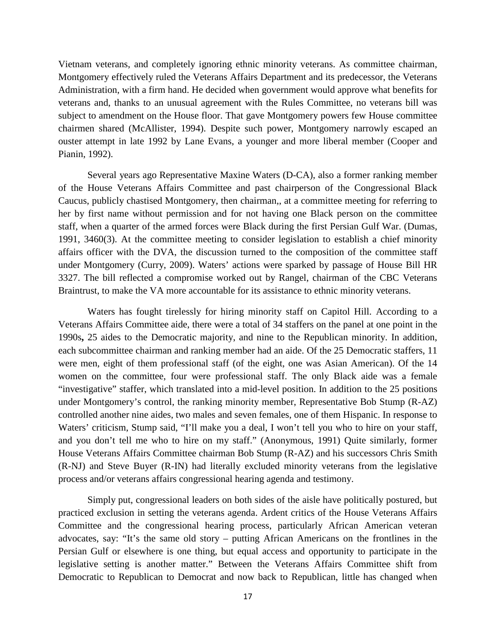Vietnam veterans, and completely ignoring ethnic minority veterans. As committee chairman, Montgomery effectively ruled the Veterans Affairs Department and its predecessor, the Veterans Administration, with a firm hand. He decided when government would approve what benefits for veterans and, thanks to an unusual agreement with the Rules Committee, no veterans bill was subject to amendment on the House floor. That gave Montgomery powers few House committee chairmen shared (McAllister, 1994). Despite such power, Montgomery narrowly escaped an ouster attempt in late 1992 by Lane Evans, a younger and more liberal member (Cooper and Pianin, 1992).

Several years ago Representative Maxine Waters (D-CA), also a former ranking member of the House Veterans Affairs Committee and past chairperson of the Congressional Black Caucus, publicly chastised Montgomery, then chairman,, at a committee meeting for referring to her by first name without permission and for not having one Black person on the committee staff, when a quarter of the armed forces were Black during the first Persian Gulf War. (Dumas, 1991, 3460(3). At the committee meeting to consider legislation to establish a chief minority affairs officer with the DVA, the discussion turned to the composition of the committee staff under Montgomery (Curry, 2009). Waters' actions were sparked by passage of House Bill HR 3327. The bill reflected a compromise worked out by Rangel, chairman of the CBC Veterans Braintrust, to make the VA more accountable for its assistance to ethnic minority veterans.

Waters has fought tirelessly for hiring minority staff on Capitol Hill. According to a Veterans Affairs Committee aide, there were a total of 34 staffers on the panel at one point in the 1990s**,** 25 aides to the Democratic majority, and nine to the Republican minority. In addition, each subcommittee chairman and ranking member had an aide. Of the 25 Democratic staffers, 11 were men, eight of them professional staff (of the eight, one was Asian American). Of the 14 women on the committee, four were professional staff. The only Black aide was a female "investigative" staffer, which translated into a mid-level position. In addition to the 25 positions under Montgomery's control, the ranking minority member, Representative Bob Stump (R-AZ) controlled another nine aides, two males and seven females, one of them Hispanic. In response to Waters' criticism, Stump said, "I'll make you a deal, I won't tell you who to hire on your staff, and you don't tell me who to hire on my staff." (Anonymous, 1991) Quite similarly, former House Veterans Affairs Committee chairman Bob Stump (R-AZ) and his successors Chris Smith (R-NJ) and Steve Buyer (R-IN) had literally excluded minority veterans from the legislative process and/or veterans affairs congressional hearing agenda and testimony.

Simply put, congressional leaders on both sides of the aisle have politically postured, but practiced exclusion in setting the veterans agenda. Ardent critics of the House Veterans Affairs Committee and the congressional hearing process, particularly African American veteran advocates, say: "It's the same old story – putting African Americans on the frontlines in the Persian Gulf or elsewhere is one thing, but equal access and opportunity to participate in the legislative setting is another matter." Between the Veterans Affairs Committee shift from Democratic to Republican to Democrat and now back to Republican, little has changed when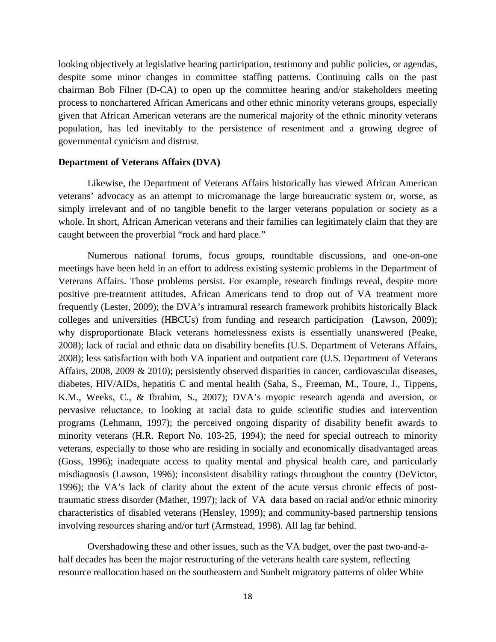looking objectively at legislative hearing participation, testimony and public policies, or agendas, despite some minor changes in committee staffing patterns. Continuing calls on the past chairman Bob Filner (D-CA) to open up the committee hearing and/or stakeholders meeting process to nonchartered African Americans and other ethnic minority veterans groups, especially given that African American veterans are the numerical majority of the ethnic minority veterans population, has led inevitably to the persistence of resentment and a growing degree of governmental cynicism and distrust.

#### **Department of Veterans Affairs (DVA)**

Likewise, the Department of Veterans Affairs historically has viewed African American veterans' advocacy as an attempt to micromanage the large bureaucratic system or, worse, as simply irrelevant and of no tangible benefit to the larger veterans population or society as a whole. In short, African American veterans and their families can legitimately claim that they are caught between the proverbial "rock and hard place."

Numerous national forums, focus groups, roundtable discussions, and one-on-one meetings have been held in an effort to address existing systemic problems in the Department of Veterans Affairs. Those problems persist. For example, research findings reveal, despite more positive pre-treatment attitudes, African Americans tend to drop out of VA treatment more frequently (Lester, 2009); the DVA's intramural research framework prohibits historically Black colleges and universities (HBCUs) from funding and research participation (Lawson, 2009); why disproportionate Black veterans homelessness exists is essentially unanswered (Peake, 2008); lack of racial and ethnic data on disability benefits (U.S. Department of Veterans Affairs, 2008); less satisfaction with both VA inpatient and outpatient care (U.S. Department of Veterans Affairs, 2008, 2009 & 2010); persistently observed disparities in cancer, cardiovascular diseases, diabetes, HIV/AIDs, hepatitis C and mental health (Saha, S., Freeman, M., Toure, J., Tippens, K.M., Weeks, C., & Ibrahim, S., 2007); DVA's myopic research agenda and aversion, or pervasive reluctance, to looking at racial data to guide scientific studies and intervention programs (Lehmann, 1997); the perceived ongoing disparity of disability benefit awards to minority veterans (H.R. Report No. 103-25, 1994); the need for special outreach to minority veterans, especially to those who are residing in socially and economically disadvantaged areas (Goss, 1996); inadequate access to quality mental and physical health care, and particularly misdiagnosis (Lawson, 1996); inconsistent disability ratings throughout the country (DeVictor, 1996); the VA's lack of clarity about the extent of the acute versus chronic effects of posttraumatic stress disorder (Mather, 1997); lack of VA data based on racial and/or ethnic minority characteristics of disabled veterans (Hensley, 1999); and community-based partnership tensions involving resources sharing and/or turf (Armstead, 1998). All lag far behind.

Overshadowing these and other issues, such as the VA budget, over the past two-and-ahalf decades has been the major restructuring of the veterans health care system, reflecting resource reallocation based on the southeastern and Sunbelt migratory patterns of older White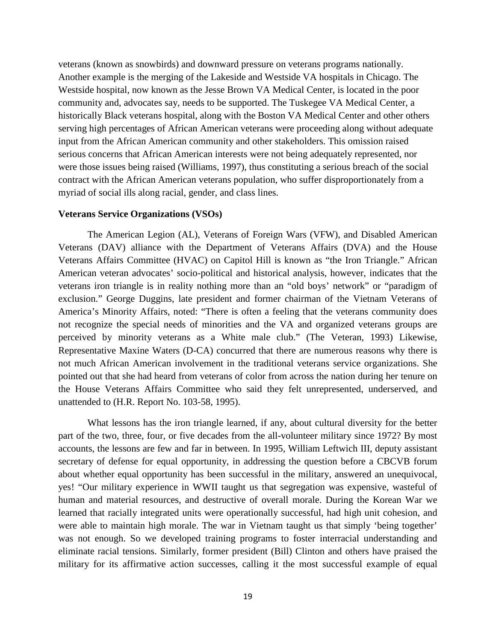veterans (known as snowbirds) and downward pressure on veterans programs nationally. Another example is the merging of the Lakeside and Westside VA hospitals in Chicago. The Westside hospital, now known as the Jesse Brown VA Medical Center, is located in the poor community and, advocates say, needs to be supported. The Tuskegee VA Medical Center, a historically Black veterans hospital, along with the Boston VA Medical Center and other others serving high percentages of African American veterans were proceeding along without adequate input from the African American community and other stakeholders. This omission raised serious concerns that African American interests were not being adequately represented, nor were those issues being raised (Williams, 1997), thus constituting a serious breach of the social contract with the African American veterans population, who suffer disproportionately from a myriad of social ills along racial, gender, and class lines.

#### **Veterans Service Organizations (VSOs)**

The American Legion (AL), Veterans of Foreign Wars (VFW), and Disabled American Veterans (DAV) alliance with the Department of Veterans Affairs (DVA) and the House Veterans Affairs Committee (HVAC) on Capitol Hill is known as "the Iron Triangle." African American veteran advocates' socio-political and historical analysis, however, indicates that the veterans iron triangle is in reality nothing more than an "old boys' network" or "paradigm of exclusion." George Duggins, late president and former chairman of the Vietnam Veterans of America's Minority Affairs, noted: "There is often a feeling that the veterans community does not recognize the special needs of minorities and the VA and organized veterans groups are perceived by minority veterans as a White male club." (The Veteran, 1993) Likewise, Representative Maxine Waters (D-CA) concurred that there are numerous reasons why there is not much African American involvement in the traditional veterans service organizations. She pointed out that she had heard from veterans of color from across the nation during her tenure on the House Veterans Affairs Committee who said they felt unrepresented, underserved, and unattended to (H.R. Report No. 103-58, 1995).

What lessons has the iron triangle learned, if any, about cultural diversity for the better part of the two, three, four, or five decades from the all-volunteer military since 1972? By most accounts, the lessons are few and far in between. In 1995, William Leftwich III, deputy assistant secretary of defense for equal opportunity, in addressing the question before a CBCVB forum about whether equal opportunity has been successful in the military, answered an unequivocal, yes! "Our military experience in WWII taught us that segregation was expensive, wasteful of human and material resources, and destructive of overall morale. During the Korean War we learned that racially integrated units were operationally successful, had high unit cohesion, and were able to maintain high morale. The war in Vietnam taught us that simply 'being together' was not enough. So we developed training programs to foster interracial understanding and eliminate racial tensions. Similarly, former president (Bill) Clinton and others have praised the military for its affirmative action successes, calling it the most successful example of equal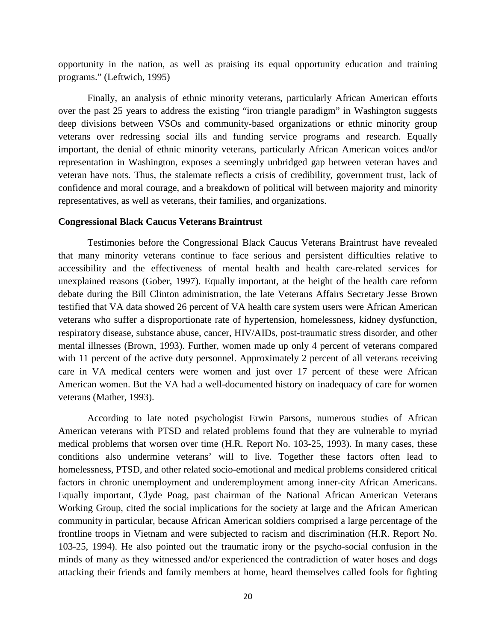opportunity in the nation, as well as praising its equal opportunity education and training programs." (Leftwich, 1995)

Finally, an analysis of ethnic minority veterans, particularly African American efforts over the past 25 years to address the existing "iron triangle paradigm" in Washington suggests deep divisions between VSOs and community-based organizations or ethnic minority group veterans over redressing social ills and funding service programs and research. Equally important, the denial of ethnic minority veterans, particularly African American voices and/or representation in Washington, exposes a seemingly unbridged gap between veteran haves and veteran have nots. Thus, the stalemate reflects a crisis of credibility, government trust, lack of confidence and moral courage, and a breakdown of political will between majority and minority representatives, as well as veterans, their families, and organizations.

#### **Congressional Black Caucus Veterans Braintrust**

Testimonies before the Congressional Black Caucus Veterans Braintrust have revealed that many minority veterans continue to face serious and persistent difficulties relative to accessibility and the effectiveness of mental health and health care-related services for unexplained reasons (Gober, 1997). Equally important, at the height of the health care reform debate during the Bill Clinton administration, the late Veterans Affairs Secretary Jesse Brown testified that VA data showed 26 percent of VA health care system users were African American veterans who suffer a disproportionate rate of hypertension, homelessness, kidney dysfunction, respiratory disease, substance abuse, cancer, HIV/AIDs, post-traumatic stress disorder, and other mental illnesses (Brown, 1993). Further, women made up only 4 percent of veterans compared with 11 percent of the active duty personnel. Approximately 2 percent of all veterans receiving care in VA medical centers were women and just over 17 percent of these were African American women. But the VA had a well-documented history on inadequacy of care for women veterans (Mather, 1993).

According to late noted psychologist Erwin Parsons, numerous studies of African American veterans with PTSD and related problems found that they are vulnerable to myriad medical problems that worsen over time (H.R. Report No. 103-25, 1993). In many cases, these conditions also undermine veterans' will to live. Together these factors often lead to homelessness, PTSD, and other related socio-emotional and medical problems considered critical factors in chronic unemployment and underemployment among inner-city African Americans. Equally important, Clyde Poag, past chairman of the National African American Veterans Working Group, cited the social implications for the society at large and the African American community in particular, because African American soldiers comprised a large percentage of the frontline troops in Vietnam and were subjected to racism and discrimination (H.R. Report No. 103-25, 1994). He also pointed out the traumatic irony or the psycho-social confusion in the minds of many as they witnessed and/or experienced the contradiction of water hoses and dogs attacking their friends and family members at home, heard themselves called fools for fighting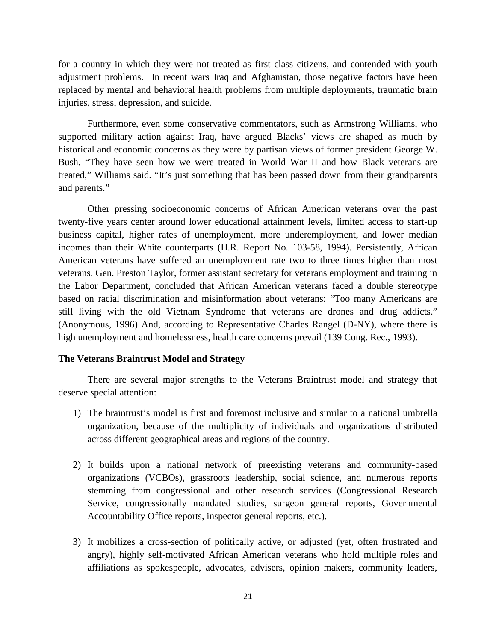for a country in which they were not treated as first class citizens, and contended with youth adjustment problems. In recent wars Iraq and Afghanistan, those negative factors have been replaced by mental and behavioral health problems from multiple deployments, traumatic brain injuries, stress, depression, and suicide.

Furthermore, even some conservative commentators, such as Armstrong Williams, who supported military action against Iraq, have argued Blacks' views are shaped as much by historical and economic concerns as they were by partisan views of former president George W. Bush. "They have seen how we were treated in World War II and how Black veterans are treated," Williams said. "It's just something that has been passed down from their grandparents and parents."

Other pressing socioeconomic concerns of African American veterans over the past twenty-five years center around lower educational attainment levels, limited access to start-up business capital, higher rates of unemployment, more underemployment, and lower median incomes than their White counterparts (H.R. Report No. 103-58, 1994). Persistently, African American veterans have suffered an unemployment rate two to three times higher than most veterans. Gen. Preston Taylor, former assistant secretary for veterans employment and training in the Labor Department, concluded that African American veterans faced a double stereotype based on racial discrimination and misinformation about veterans: "Too many Americans are still living with the old Vietnam Syndrome that veterans are drones and drug addicts." (Anonymous, 1996) And, according to Representative Charles Rangel (D-NY), where there is high unemployment and homelessness, health care concerns prevail (139 Cong. Rec., 1993).

#### **The Veterans Braintrust Model and Strategy**

There are several major strengths to the Veterans Braintrust model and strategy that deserve special attention:

- 1) The braintrust's model is first and foremost inclusive and similar to a national umbrella organization, because of the multiplicity of individuals and organizations distributed across different geographical areas and regions of the country.
- 2) It builds upon a national network of preexisting veterans and community-based organizations (VCBOs), grassroots leadership, social science, and numerous reports stemming from congressional and other research services (Congressional Research Service, congressionally mandated studies, surgeon general reports, Governmental Accountability Office reports, inspector general reports, etc.).
- 3) It mobilizes a cross-section of politically active, or adjusted (yet, often frustrated and angry), highly self-motivated African American veterans who hold multiple roles and affiliations as spokespeople, advocates, advisers, opinion makers, community leaders,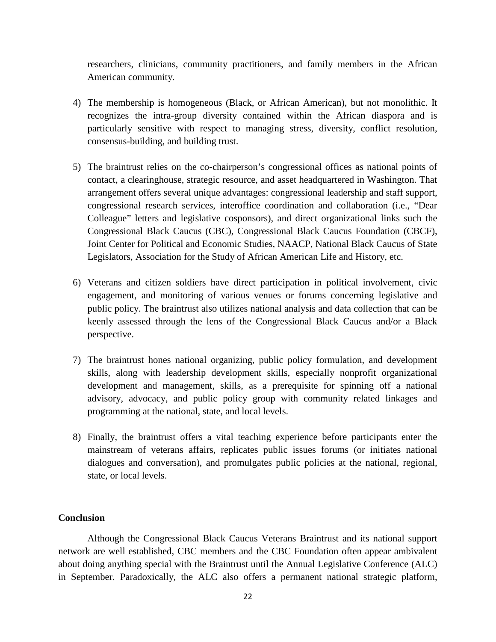researchers, clinicians, community practitioners, and family members in the African American community.

- 4) The membership is homogeneous (Black, or African American), but not monolithic. It recognizes the intra-group diversity contained within the African diaspora and is particularly sensitive with respect to managing stress, diversity, conflict resolution, consensus-building, and building trust.
- 5) The braintrust relies on the co-chairperson's congressional offices as national points of contact, a clearinghouse, strategic resource, and asset headquartered in Washington. That arrangement offers several unique advantages: congressional leadership and staff support, congressional research services, interoffice coordination and collaboration (i.e., "Dear Colleague" letters and legislative cosponsors), and direct organizational links such the Congressional Black Caucus (CBC), Congressional Black Caucus Foundation (CBCF), Joint Center for Political and Economic Studies, NAACP, National Black Caucus of State Legislators, Association for the Study of African American Life and History, etc.
- 6) Veterans and citizen soldiers have direct participation in political involvement, civic engagement, and monitoring of various venues or forums concerning legislative and public policy. The braintrust also utilizes national analysis and data collection that can be keenly assessed through the lens of the Congressional Black Caucus and/or a Black perspective.
- 7) The braintrust hones national organizing, public policy formulation, and development skills, along with leadership development skills, especially nonprofit organizational development and management, skills, as a prerequisite for spinning off a national advisory, advocacy, and public policy group with community related linkages and programming at the national, state, and local levels.
- 8) Finally, the braintrust offers a vital teaching experience before participants enter the mainstream of veterans affairs, replicates public issues forums (or initiates national dialogues and conversation), and promulgates public policies at the national, regional, state, or local levels.

#### **Conclusion**

Although the Congressional Black Caucus Veterans Braintrust and its national support network are well established, CBC members and the CBC Foundation often appear ambivalent about doing anything special with the Braintrust until the Annual Legislative Conference (ALC) in September. Paradoxically, the ALC also offers a permanent national strategic platform,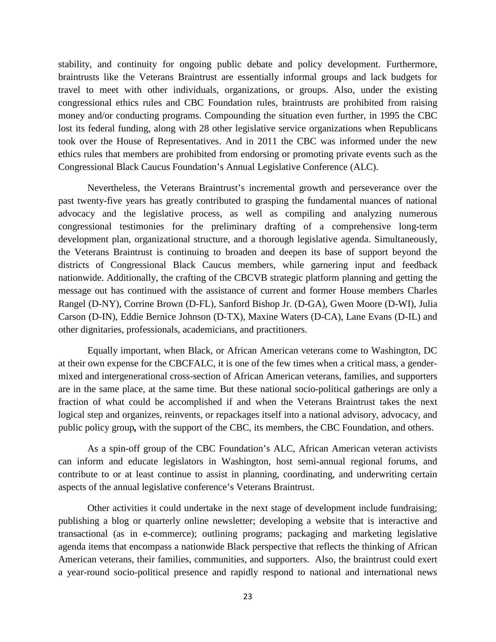stability, and continuity for ongoing public debate and policy development. Furthermore, braintrusts like the Veterans Braintrust are essentially informal groups and lack budgets for travel to meet with other individuals, organizations, or groups. Also, under the existing congressional ethics rules and CBC Foundation rules, braintrusts are prohibited from raising money and/or conducting programs. Compounding the situation even further, in 1995 the CBC lost its federal funding, along with 28 other legislative service organizations when Republicans took over the House of Representatives. And in 2011 the CBC was informed under the new ethics rules that members are prohibited from endorsing or promoting private events such as the Congressional Black Caucus Foundation's Annual Legislative Conference (ALC).

Nevertheless, the Veterans Braintrust's incremental growth and perseverance over the past twenty-five years has greatly contributed to grasping the fundamental nuances of national advocacy and the legislative process, as well as compiling and analyzing numerous congressional testimonies for the preliminary drafting of a comprehensive long-term development plan, organizational structure, and a thorough legislative agenda. Simultaneously, the Veterans Braintrust is continuing to broaden and deepen its base of support beyond the districts of Congressional Black Caucus members, while garnering input and feedback nationwide. Additionally, the crafting of the CBCVB strategic platform planning and getting the message out has continued with the assistance of current and former House members Charles Rangel (D-NY), Corrine Brown (D-FL), Sanford Bishop Jr. (D-GA), Gwen Moore (D-WI), Julia Carson (D-IN), Eddie Bernice Johnson (D-TX), Maxine Waters (D-CA), Lane Evans (D-IL) and other dignitaries, professionals, academicians, and practitioners.

Equally important, when Black, or African American veterans come to Washington, DC at their own expense for the CBCFALC, it is one of the few times when a critical mass, a gendermixed and intergenerational cross-section of African American veterans, families, and supporters are in the same place, at the same time. But these national socio-political gatherings are only a fraction of what could be accomplished if and when the Veterans Braintrust takes the next logical step and organizes, reinvents, or repackages itself into a national advisory, advocacy, and public policy group*,* with the support of the CBC, its members, the CBC Foundation, and others.

As a spin-off group of the CBC Foundation's ALC, African American veteran activists can inform and educate legislators in Washington, host semi-annual regional forums, and contribute to or at least continue to assist in planning, coordinating, and underwriting certain aspects of the annual legislative conference's Veterans Braintrust.

Other activities it could undertake in the next stage of development include fundraising; publishing a blog or quarterly online newsletter; developing a website that is interactive and transactional (as in e-commerce); outlining programs; packaging and marketing legislative agenda items that encompass a nationwide Black perspective that reflects the thinking of African American veterans, their families, communities, and supporters. Also, the braintrust could exert a year-round socio-political presence and rapidly respond to national and international news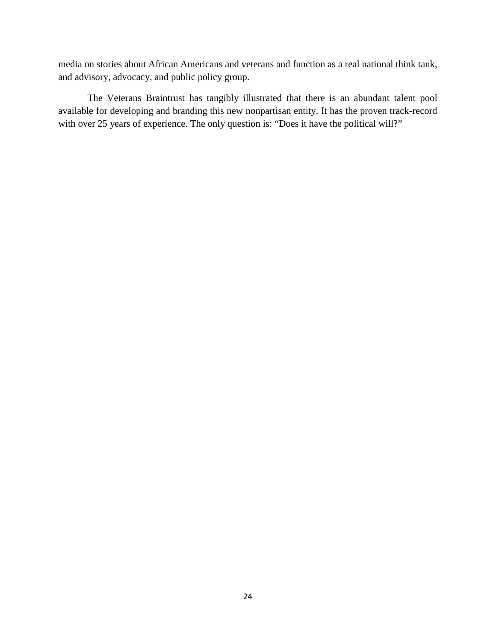media on stories about African Americans and veterans and function as a real national think tank, and advisory, advocacy, and public policy group.

The Veterans Braintrust has tangibly illustrated that there is an abundant talent pool available for developing and branding this new nonpartisan entity. It has the proven track-record with over 25 years of experience. The only question is: "Does it have the political will?"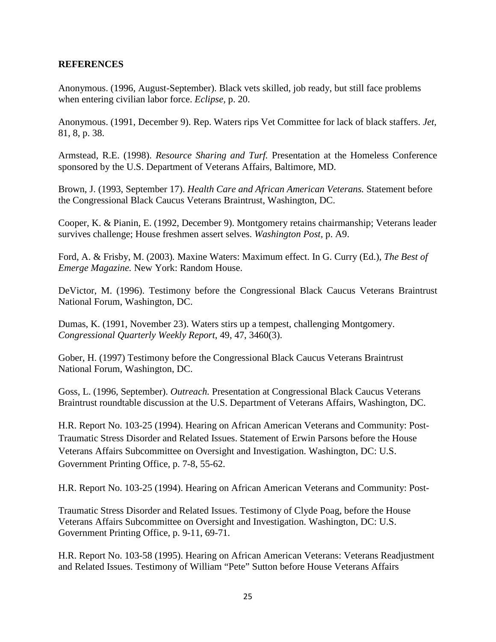#### **REFERENCES**

Anonymous. (1996, August-September). Black vets skilled, job ready, but still face problems when entering civilian labor force. *Eclipse,* p. 20.

Anonymous. (1991, December 9). Rep. Waters rips Vet Committee for lack of black staffers. *Jet*, 81, 8, p. 38.

Armstead, R.E. (1998). *Resource Sharing and Turf.* Presentation at the Homeless Conference sponsored by the U.S. Department of Veterans Affairs, Baltimore, MD.

Brown, J. (1993, September 17). *Health Care and African American Veterans.* Statement before the Congressional Black Caucus Veterans Braintrust, Washington, DC.

Cooper, K. & Pianin, E. (1992, December 9). Montgomery retains chairmanship; Veterans leader survives challenge; House freshmen assert selves. *Washington Post,* p. A9.

Ford, A. & Frisby, M. (2003)*.* Maxine Waters: Maximum effect. In G. Curry (Ed.), *The Best of Emerge Magazine.* New York: Random House.

DeVictor, M. (1996). Testimony before the Congressional Black Caucus Veterans Braintrust National Forum, Washington, DC.

Dumas, K. (1991, November 23). Waters stirs up a tempest, challenging Montgomery. *Congressional Quarterly Weekly Report*, 49, 47, 3460(3).

Gober, H. (1997) Testimony before the Congressional Black Caucus Veterans Braintrust National Forum, Washington, DC.

Goss, L. (1996, September). *Outreach.* Presentation at Congressional Black Caucus Veterans Braintrust roundtable discussion at the U.S. Department of Veterans Affairs, Washington, DC.

H.R. Report No. 103-25 (1994). Hearing on African American Veterans and Community: Post-Traumatic Stress Disorder and Related Issues. Statement of Erwin Parsons before the House Veterans Affairs Subcommittee on Oversight and Investigation. Washington, DC: U.S. Government Printing Office, p. 7-8, 55-62.

H.R. Report No. 103-25 (1994). Hearing on African American Veterans and Community: Post-

Traumatic Stress Disorder and Related Issues. Testimony of Clyde Poag, before the House Veterans Affairs Subcommittee on Oversight and Investigation. Washington, DC: U.S. Government Printing Office, p. 9-11, 69-71.

H.R. Report No. 103-58 (1995). Hearing on African American Veterans: Veterans Readjustment and Related Issues. Testimony of William "Pete" Sutton before House Veterans Affairs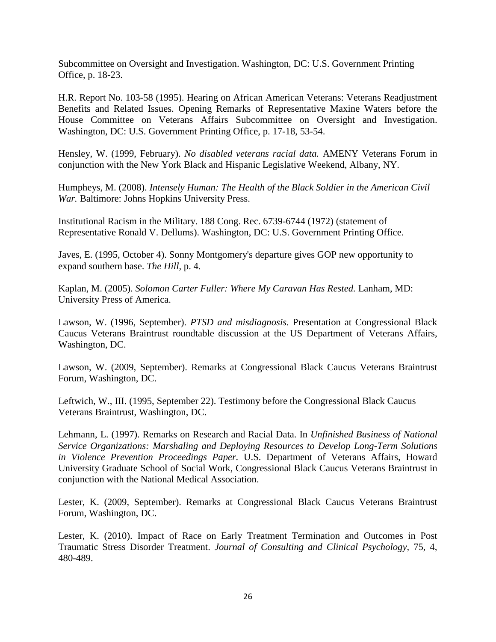Subcommittee on Oversight and Investigation. Washington, DC: U.S. Government Printing Office, p. 18-23.

H.R. Report No. 103-58 (1995). Hearing on African American Veterans: Veterans Readjustment Benefits and Related Issues. Opening Remarks of Representative Maxine Waters before the House Committee on Veterans Affairs Subcommittee on Oversight and Investigation. Washington, DC: U.S. Government Printing Office, p. 17-18, 53-54.

Hensley, W. (1999, February). *No disabled veterans racial data.* AMENY Veterans Forum in conjunction with the New York Black and Hispanic Legislative Weekend, Albany, NY.

Humpheys, M. (2008). *Intensely Human: The Health of the Black Soldier in the American Civil War.* Baltimore: Johns Hopkins University Press.

Institutional Racism in the Military. 188 Cong. Rec. 6739-6744 (1972) (statement of Representative Ronald V. Dellums). Washington, DC: U.S. Government Printing Office.

Javes, E. (1995, October 4). Sonny Montgomery's departure gives GOP new opportunity to expand southern base. *The Hill,* p. 4*.*

Kaplan, M. (2005). *Solomon Carter Fuller: Where My Caravan Has Rested.* Lanham, MD: University Press of America.

Lawson, W. (1996, September). *PTSD and misdiagnosis.* Presentation at Congressional Black Caucus Veterans Braintrust roundtable discussion at the US Department of Veterans Affairs, Washington, DC.

Lawson, W. (2009, September). Remarks at Congressional Black Caucus Veterans Braintrust Forum, Washington, DC.

Leftwich, W., III. (1995, September 22). Testimony before the Congressional Black Caucus Veterans Braintrust, Washington, DC.

Lehmann, L. (1997). Remarks on Research and Racial Data. In *Unfinished Business of National Service Organizations: Marshaling and Deploying Resources to Develop Long-Term Solutions in Violence Prevention Proceedings Paper.* U.S. Department of Veterans Affairs, Howard University Graduate School of Social Work, Congressional Black Caucus Veterans Braintrust in conjunction with the National Medical Association.

Lester, K. (2009, September). Remarks at Congressional Black Caucus Veterans Braintrust Forum, Washington, DC.

Lester, K. (2010). Impact of Race on Early Treatment Termination and Outcomes in Post Traumatic Stress Disorder Treatment. *Journal of Consulting and Clinical Psychology,* 75, 4, 480-489.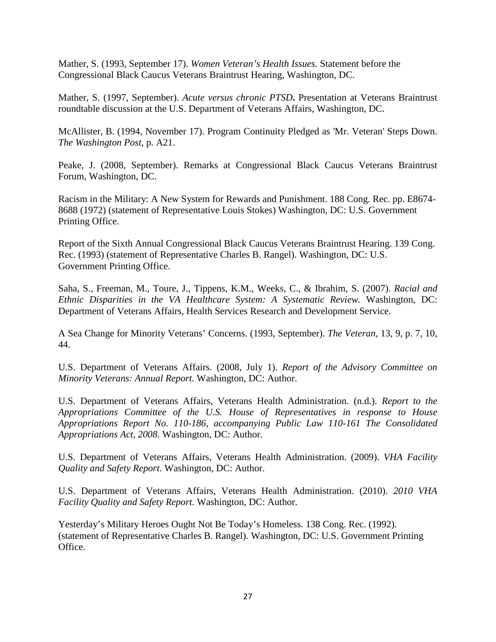Mather, S. (1993, September 17). *Women Veteran's Health Issues.* Statement before the Congressional Black Caucus Veterans Braintrust Hearing, Washington, DC.

Mather, S. (1997, September). *Acute versus chronic PTSD***.** Presentation at Veterans Braintrust roundtable discussion at the U.S. Department of Veterans Affairs, Washington, DC.

McAllister, B. (1994, November 17). Program Continuity Pledged as 'Mr. Veteran' Steps Down. *The Washington Post,* p. A21.

Peake, J. (2008, September). Remarks at Congressional Black Caucus Veterans Braintrust Forum, Washington, DC.

Racism in the Military: A New System for Rewards and Punishment. 188 Cong. Rec. pp. E8674- 8688 (1972) (statement of Representative Louis Stokes) Washington, DC: U.S. Government Printing Office.

Report of the Sixth Annual Congressional Black Caucus Veterans Braintrust Hearing. 139 Cong. Rec. (1993) (statement of Representative Charles B. Rangel). Washington, DC: U.S. Government Printing Office.

Saha, S., Freeman, M., Toure, J., Tippens, K.M., Weeks, C., & Ibrahim, S. (2007). *Racial and Ethnic Disparities in the VA Healthcare System: A Systematic Review.* Washington, DC: Department of Veterans Affairs, Health Services Research and Development Service.

A Sea Change for Minority Veterans' Concerns. (1993, September). *The Veteran,* 13, 9, p. 7, 10, 44.

U.S. Department of Veterans Affairs. (2008, July 1). *Report of the Advisory Committee on Minority Veterans: Annual Report.* Washington, DC: Author.

U.S. Department of Veterans Affairs, Veterans Health Administration. (n.d.). *Report to the Appropriations Committee of the U.S. House of Representatives in response to House Appropriations Report No. 110-186, accompanying Public Law 110-161 The Consolidated Appropriations Act, 2008.* Washington, DC: Author.

U.S. Department of Veterans Affairs, Veterans Health Administration. (2009). *VHA Facility Quality and Safety Report*. Washington, DC: Author.

U.S. Department of Veterans Affairs, Veterans Health Administration. (2010). *2010 VHA Facility Quality and Safety Report.* Washington, DC: Author.

Yesterday's Military Heroes Ought Not Be Today's Homeless. 138 Cong. Rec. (1992). (statement of Representative Charles B. Rangel). Washington, DC: U.S. Government Printing Office.